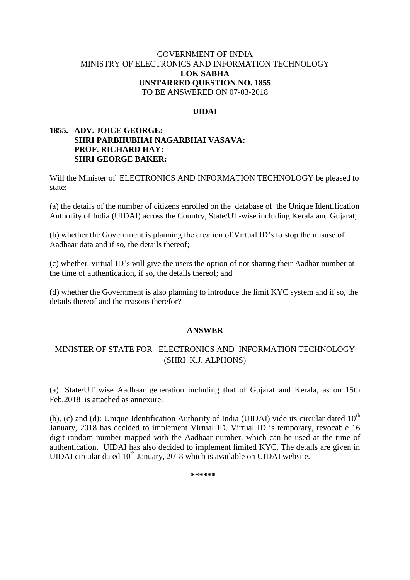# GOVERNMENT OF INDIA MINISTRY OF ELECTRONICS AND INFORMATION TECHNOLOGY **LOK SABHA UNSTARRED QUESTION NO. 1855** TO BE ANSWERED ON 07-03-2018

### **UIDAI**

# **1855. ADV. JOICE GEORGE: SHRI PARBHUBHAI NAGARBHAI VASAVA: PROF. RICHARD HAY: SHRI GEORGE BAKER:**

Will the Minister of ELECTRONICS AND INFORMATION TECHNOLOGY be pleased to state:

(a) the details of the number of citizens enrolled on the database of the Unique Identification Authority of India (UIDAI) across the Country, State/UT-wise including Kerala and Gujarat;

(b) whether the Government is planning the creation of Virtual ID's to stop the misuse of Aadhaar data and if so, the details thereof;

(c) whether virtual ID's will give the users the option of not sharing their Aadhar number at the time of authentication, if so, the details thereof; and

(d) whether the Government is also planning to introduce the limit KYC system and if so, the details thereof and the reasons therefor?

#### **ANSWER**

# MINISTER OF STATE FOR ELECTRONICS AND INFORMATION TECHNOLOGY (SHRI K.J. ALPHONS)

(a): State/UT wise Aadhaar generation including that of Gujarat and Kerala, as on 15th Feb,2018 is attached as annexure.

(b), (c) and (d): Unique Identification Authority of India (UIDAI) vide its circular dated  $10^{th}$ January, 2018 has decided to implement Virtual ID. Virtual ID is temporary, revocable 16 digit random number mapped with the Aadhaar number, which can be used at the time of authentication. UIDAI has also decided to implement limited KYC. The details are given in UIDAI circular dated  $10^{th}$  January, 2018 which is available on UIDAI website.

**\*\*\*\*\*\***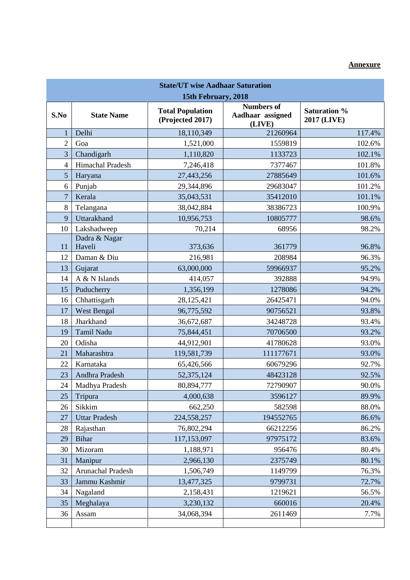# **Annexure**

| <b>State/UT wise Aadhaar Saturation</b> |                         |                                             |                                                 |                                           |  |  |
|-----------------------------------------|-------------------------|---------------------------------------------|-------------------------------------------------|-------------------------------------------|--|--|
| 15th February, 2018                     |                         |                                             |                                                 |                                           |  |  |
| S.No                                    | <b>State Name</b>       | <b>Total Population</b><br>(Projected 2017) | <b>Numbers of</b><br>Aadhaar assigned<br>(LIVE) | <b>Saturation %</b><br><b>2017 (LIVE)</b> |  |  |
| $\mathbf{1}$                            | Delhi                   | 18,110,349                                  | 21260964                                        | 117.4%                                    |  |  |
| $\overline{2}$                          | Goa                     | 1,521,000                                   | 1559819                                         | 102.6%                                    |  |  |
| 3                                       | Chandigarh              | 1,110,820                                   | 1133723                                         | 102.1%                                    |  |  |
| $\overline{4}$                          | Himachal Pradesh        | 7,246,418                                   | 7377467                                         | 101.8%                                    |  |  |
| 5                                       | Haryana                 | 27,443,256                                  | 27885649                                        | 101.6%                                    |  |  |
| 6                                       | Punjab                  | 29,344,896                                  | 29683047                                        | 101.2%                                    |  |  |
| $\overline{7}$                          | Kerala                  | 35,043,531                                  | 35412010                                        | 101.1%                                    |  |  |
| 8                                       | Telangana               | 38,042,884                                  | 38386723                                        | 100.9%                                    |  |  |
| 9                                       | Uttarakhand             | 10,956,753                                  | 10805777                                        | 98.6%                                     |  |  |
| 10                                      | Lakshadweep             | 70,214                                      | 68956                                           | 98.2%                                     |  |  |
| 11                                      | Dadra & Nagar<br>Haveli | 373,636                                     | 361779                                          | 96.8%                                     |  |  |
| 12                                      | Daman & Diu             | 216,981                                     | 208984                                          | 96.3%                                     |  |  |
| 13                                      | Gujarat                 | 63,000,000                                  | 59966937                                        | 95.2%                                     |  |  |
| 14                                      | A & N Islands           | 414,057                                     | 392888                                          | 94.9%                                     |  |  |
| 15                                      | Puducherry              | 1,356,199                                   | 1278086                                         | 94.2%                                     |  |  |
| 16                                      | Chhattisgarh            | 28,125,421                                  | 26425471                                        | 94.0%                                     |  |  |
| 17                                      | <b>West Bengal</b>      | 96,775,592                                  | 90756521                                        | 93.8%                                     |  |  |
| 18                                      | Jharkhand               | 36,672,687                                  | 34248728                                        | 93.4%                                     |  |  |
| 19                                      | Tamil Nadu              | 75,844,451                                  | 70706500                                        | 93.2%                                     |  |  |
| 20                                      | Odisha                  | 44,912,901                                  | 41780628                                        | 93.0%                                     |  |  |
| 21                                      | Maharashtra             | 119,581,739                                 | 111177671                                       | 93.0%                                     |  |  |
| 22                                      | Karnataka               | 65,426,566                                  | 60679296                                        | 92.7%                                     |  |  |
| 23                                      | Andhra Pradesh          | 52,375,124                                  | 48423128                                        | 92.5%                                     |  |  |
| 24                                      | Madhya Pradesh          | 80,894,777                                  | 72790907                                        | 90.0%                                     |  |  |
| 25                                      | Tripura                 | 4,000,638                                   | 3596127                                         | 89.9%                                     |  |  |
| 26                                      | Sikkim                  | 662,250                                     | 582598                                          | 88.0%                                     |  |  |
| 27                                      | <b>Uttar Pradesh</b>    | 224,558,257                                 | 194552765                                       | 86.6%                                     |  |  |
| 28                                      | Rajasthan               | 76,802,294                                  | 66212256                                        | 86.2%                                     |  |  |
| 29                                      | <b>Bihar</b>            | 117,153,097                                 | 97975172                                        | 83.6%                                     |  |  |
| 30                                      | Mizoram                 | 1,188,971                                   | 956476                                          | 80.4%                                     |  |  |
| 31                                      | Manipur                 | 2,966,130                                   | 2375749                                         | 80.1%                                     |  |  |
| 32                                      | Arunachal Pradesh       | 1,506,749                                   | 1149799                                         | 76.3%                                     |  |  |
| 33                                      | Jammu Kashmir           | 13,477,325                                  | 9799731                                         | 72.7%                                     |  |  |
| 34                                      | Nagaland                | 2,158,431                                   | 1219621                                         | 56.5%                                     |  |  |
| 35                                      | Meghalaya               | 3,230,132                                   | 660016                                          | 20.4%                                     |  |  |
| 36                                      | Assam                   | 34,068,394                                  | 2611469                                         | 7.7%                                      |  |  |
|                                         |                         |                                             |                                                 |                                           |  |  |